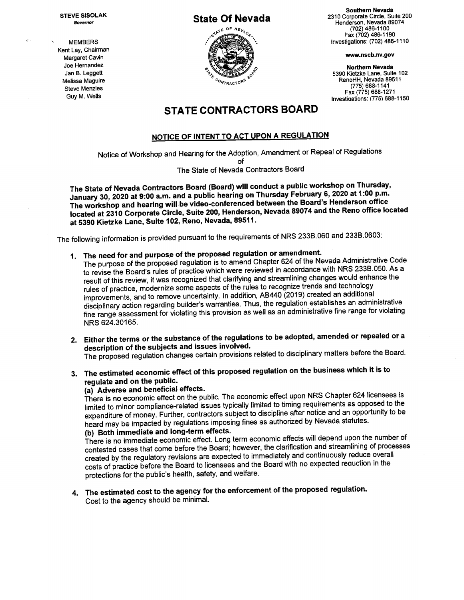Kent Lay, Chairman Joe Hernandez



Southern Nevada STEVE SISOLAK Southern Nevada Governor **State Of Nevada 23074**<br>Fenderson, Nevada 89074<br>Fax (702) 486-1100<br>Fax (702) 486-1190 (702) 486-1100<br>Fax (702) 486-1190  $\sim$  MEMBERS Investigations: (702) 486-1110

Joe Hernandez<br>Jan B. Leggett Suite 102 Northern Nevada Suite 102 Northern Nevada Suite 102 Melissa Maguire RenoHH, Nevada 89611 Steve Menzies (775) 688-1141<br>Fax (775) 688-1271 Guy M. Wells Fax (775) 688-1271 Investiaations: (775') 688-1150

## STATE CONTRACTORS BOARD

#### NOTICE OF INTENT TO ACT UPON A REGULATION

Notice of Workshop and Hearing for the Adoption, Amendment or Repeal of Regulations

of The State of Nevada Contractors Board

The State of Nevada Contractors Board (Board) will conduct a public workshop on Thursday, January 30, 2020 at 9:00 a.m. and a public hearing on Thursday February 6, 2020 at 1:00 p.m. The workshop and hearing wiIl.be video-conferenced between the Board's Henderson office located at 2310 Corporate Circle, Suite 200, Henderson, Nevada 89074 and the Reno office located at 5390 Kietzke Lane, Suite 102, Reno, Nevada, 89511.

The following information is provided pursuant to the requirements of NRS 233B.060 and 233B.0603:

- 1. The need for and purpose of the proposed regulation or amendment.
	- The purpose of the proposed regulation is to amend Chapter 624 of the Nevada Administrative Code to revise the Board's rules of practice which were reviewed in accordance with NRS 233B.050. As a result of this review, it was recognized that clarifying and streamlining changes would enhance the rules of practice, modernize some aspects of the rules to recognize trends and technology improvements, and to remove uncertainty. In addition, AB440 (2019) created an additional disciplinary action regarding builder's warranties. Thus, the regulation establishes an administrative fine range assessment for violating this provision as well as an administrative fine range for violating NRS 624.30165.
- 2. Either the terms or the substance of the regulations to be adopted, amended or repealed or a description of the subjects and issues involved. The proposed regulation changes certain provisions related to disciplinary matters before the Board.
- 3. The estimated economic effect of this proposed regulation on the business which it is to regulate and on the public.

## (a) Adverse and beneficial effects.

There is no economic effect on the public. The economic effect upon NRS Chapter 624 licensees is limited to minor compliance-related issues typically limited to timing requirements as opposed to the expenditure of money. Further, contractors subject to discipline after notice and an opportunity to be heard may be impacted by regulations imposing fines as authorized by Nevada statutes. (b) Both immediate and long-term effects.

There is no immediate economic effect. Long term economic effects will depend upon the number of contested cases that come before the Board; however, the clarification and streamlining of processes created by the regulatory revisions are expected to immediately and continuously reduce overall costs of practice before the Board to licensees and the Board with no expected reduction in the protections for the public's health, safety, and welfare.

4. The estimated cost to the agency for the enforcement of the proposed regulation. Cost to the agency should be minimal.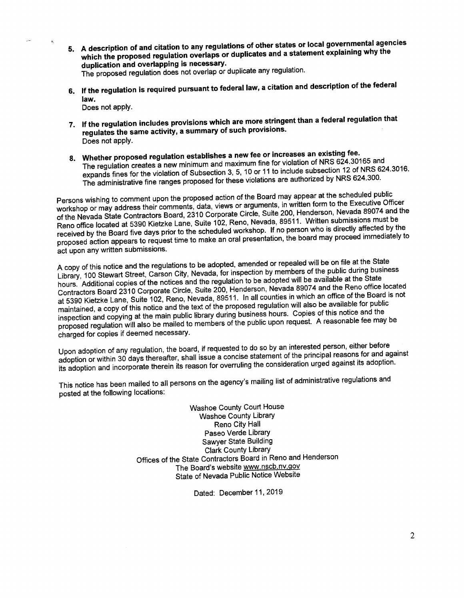- 5. A description of and citation to any regulations of other states or local governmental agencies which the proposed regulation overlaps or duplicates and a statement explaining why the duplication and overlapping is necessary. The proposed regulation does not overlap or duplicate any regulation.
- 6. If the regulation is required pursuant to federal law, a citation and description of the federal law.

Does not apply.

- 7. If the regulation includes provisions which are more stringent than a federal regulation that regulates the same activity, a summary of such provisions. Does not apply.
- 8. Whether proposed regulation establishes a new fee or increases an existing fee. The regulation creates a new minimum and maximum fine for violation of NRS 624.30165 and expands fines for the violation of Subsection 3, 5, 10 or 11 to include subsection 12 of NRS 624.3016. The administrative fine ranges proposed for these violations are authorized by NRS 624.300.

Persons wishing to comment upon the proposed action of the Board may appear at the scheduled public workshop or may address their comments, data, views or arguments, in written form to the Executive Officer of the Nevada State Contractors Board, 2310 Corporate Circle, Suite 200, Henderson, Nevada 89074 and the Reno office located at 5390 Kietzke Lane, Suite 102, Reno, Nevada, 89511. Written submissions must be received by the Board five days prior to the scheduled workshop. If no person who is directly affected by the proposed action appears to request time to make an oral presentation, the board may proceed immediately to act upon any written submissions.

A copy of this notice and the regulations to be adopted, amended or repealed will be on file at the State Library, 100 Stewart Street, Carson City, Nevada, for inspection by members of the public during business hours. Additional copies of the notices and the regulation to be adopted will be available at the State Contractors Board 2310 Corporate Circle, Suite 200, Henderson, Nevada 89074 and the Reno office located at 5390 Kietzke Lane, Suite 102, Reno, Nevada, 89511. In all counties in which an office of the Board is not maintained, a copy of this notice and the text of the proposed regulation will also be available for public inspection and copying at the main public library during business hours. Copies of this notice and the proposed regulation will also be mailed to members of the public upon request. A reasonable fee may be charged for copies if deemed necessary.

Upon adoption of any regulation, the board, if requested to do so by an interested person, either before adoption or within 30 days thereafter, shall issue a concise statement of the principal reasons for and against its adoption and incorporate therein its reason for overruling the consideration urged against its adoption.

This notice has been mailed to all persons on the agency's mailing list of administrative regulations and posted at the following locations:

> Washoe County Court House Washoe County Library Reno City Hall Paseo Verde Library Sawyer State Building Clark County Library Offices of the State Contractors Board in Reno and Henderson The Board's website www.nscb.nv.gov State of Nevada Public Notice Website

> > Dated: December 11, 2019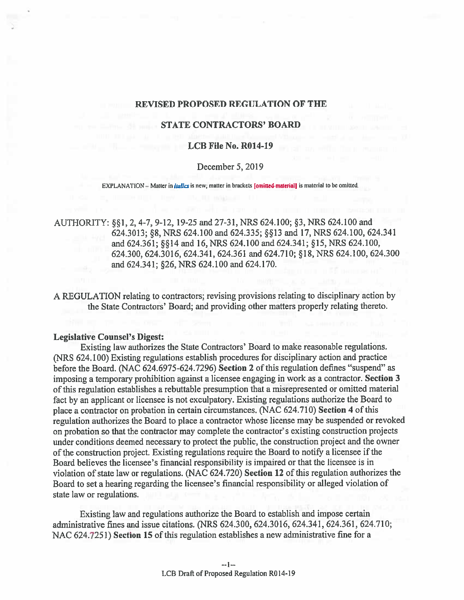#### REVISED PROPOSED REGULATION OF THE

## **STATE CONTRACTORS' BOARD**

### LCB File No. R014-19

### December 5, 2019

EXPLANATION - Matter in *italics* is new; matter in brackets [omitted material] is material to be omitted.

AUTHORITY: §§1, 2, 4-7, 9-12, 19-25 and 27-31, NRS 624.100; §3, NRS 624.100 and 624.3013; §8, NRS 624.100 and 624.335; §13 and 17, NRS 624.100, 624.341 and 624.361; §§14 and 16, NRS 624.100 and 624.341; §15, NRS 624.100, 624.300, 624.3016, 624.341, 624.361 and 624.710; §18,NRS 624.100, 624.300 and 624.341; §26, NRS 624.100 and 624.170.

A REGULATION relating to contractors; revising provisions relating to disciplinary action by the State Contractors' Board; and providing other matters properly relating thereto.

#### Legislative Counsel's Digest:

Existing law authorizes the State Contractors' Board to make reasonable regulations. (NRS 624.100) Existing regulations establish procedures for disciplinary action and practice before the Board. (NAC 624.6975-624.7296) Section 2 of this regulation defines "suspend" as imposing <sup>a</sup> temporary prohibition against <sup>a</sup> licensee engaging in work as <sup>a</sup> contractor. Section <sup>3</sup> of this regulation establishes <sup>a</sup> rebuttable presumption that <sup>a</sup> misrepresented or omitted material fact by an applicant or licensee is not exculpatory. Existing regulations authorize the Board to <sup>p</sup>lace <sup>a</sup> contractor on probation in certain circumstances. (NAC 624.710) Section <sup>4</sup> of this regulation authorizes the Board to <sup>p</sup>lace <sup>a</sup> contractor whose license may be suspended or revoked on probation so that the contractor may complete the contractor's existing construction projects under conditions deemed necessary to protect the public, the construction project and the owner of the construction project. Existing regulations require the Board to notify a licensee if the Board believes the licensee's financial responsibility is impaired or that the licensee is in violation of state law or regulations. (NAC 624.720) Section 12 of this regulation authorizes the Board to set <sup>a</sup> hearing regarding the licensee's financial responsibility or alleged violation of state law or regulations.

Existing law and regulations authorize the Board to establish and impose certain administrative fmes and issue citations. (NRS 624.300, 624.3016, 624.341, 624.361, 624.710; NAC 624.7251) Section 15 of this regulation establishes <sup>a</sup> new administrative fine for <sup>a</sup>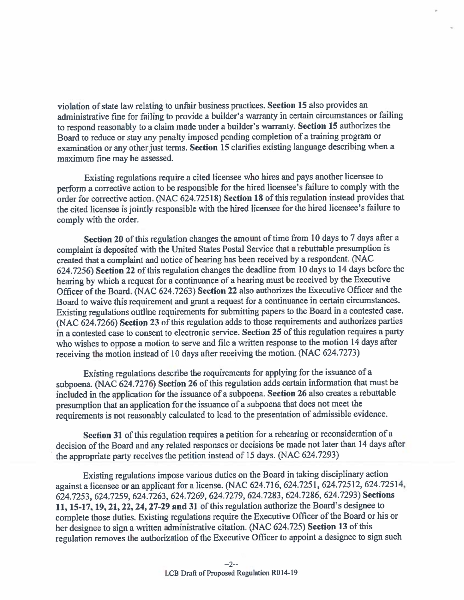violation of state law relating to unfair business practices. Section 15 also provides an administrative fine for failing to provide <sup>a</sup> builder's warranty in certain circumstances or failing to respond reasonably to a claim made under a builder's warranty. Section 15 authorizes the Board to reduce or stay any penalty imposed pending completion of <sup>a</sup> training program or examination or any other just terms. Scction <sup>15</sup> clarifies existing language describing when <sup>a</sup> maximum fine may be assessed.

Existing regulations require <sup>a</sup> cited licensee who hires and pays another licensee to perform <sup>a</sup> corrective action to be responsible for the hired licensee's failure to comply with the order for corrective action. (NAC 624.72518) Secfion <sup>18</sup> of this regulation instead provides that the cited licensee is jointly responsible with the hired licensee for the hired licensee's failure to comply with the order.

Section 20 of this regulation changes the amount of time from 10 days to 7 days after a complaint is deposited with the United States Postal Service that <sup>a</sup> rebuttable presumption is created that <sup>a</sup> complaint and notice of hearing has been received by <sup>a</sup> respondent. (NAC 624.7256) Section <sup>22</sup> of this regulation changes the deadline from <sup>10</sup> days to <sup>14</sup> days before the hearing by which <sup>a</sup> reques<sup>t</sup> for a continuance of <sup>a</sup> hearing must be received by the Executive Officer of the Board. (NAC 624.7263) Section 22 also authorizes the Executive Officer and the Board to waive this requirement and gran<sup>t</sup> a reques<sup>t</sup> for <sup>a</sup> continuance in certain circumstances. Existing regulations outline requirements for submitting papers to the Board in <sup>a</sup> contested ease. (NAC 624.7266) Section <sup>23</sup> of this regulation adds to those requirements and authorizes parties in <sup>a</sup> contested case to consent to electronic service. Section 25 of this regulation requires a party who wishes to oppose a motion to serve and file <sup>a</sup> written response to the motion 14 days after receiving the motion instead of <sup>10</sup> days after receiving the motion. (NAC 624.7273)

Existing regulations describe the requirements for applying for the issuance of a subpoena. (NAC 624.7276) Section <sup>26</sup> of this regulation adds certain information that must be included in the application for the issuance of <sup>a</sup> subpoena. Section <sup>26</sup> also creates <sup>a</sup> rebuttable presumption that an application for the issuance of <sup>a</sup> subpoena that does not meet the requirements is not reasonably calculated to lead to the presentation of admissible evidence.

Section 31 of this regulation requires a petition for a rehearing or reconsideration of a decision of the Board and any related responses or decisions be made not later than 14 days after the appropriate party receives the petition instead of <sup>15</sup> days. (NAC 624.7293)

Existing regulations impose various duties on the Board in taking disciplinary action against <sup>a</sup> licensee or an applicant for <sup>a</sup> license. (NAC 624.716, 624.7251, 624.72512, 624.72514, 624.7253, 624.7259, 624.7263, 624.7269, 624.7279, 624.7283, 624.7286, 624.7293) Sections 11, 15-17, 19, 21, 22, 24, 27-29 and <sup>31</sup> of this regulation authorize the Board's designee to complete those duties. Existing regulations require the Executive Officer of the Board or his or her designee to sign <sup>a</sup> written administrative citation. (NAC 624.725) Section <sup>13</sup> of this regulation removes the authorization of the Executive Officer to appoint a designee to sign such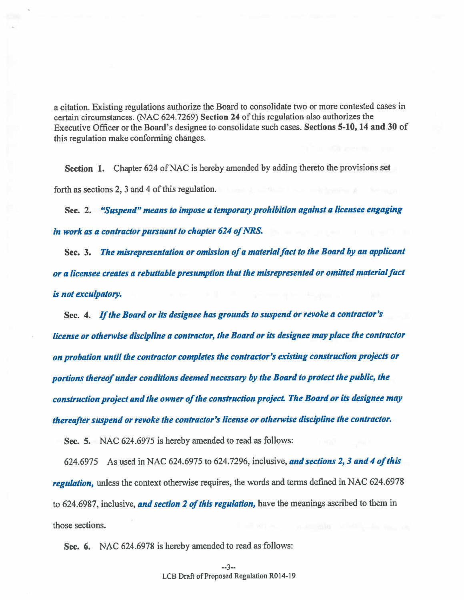<sup>a</sup> citation. Existing regulations authorize the Board to consolidate two or more contested cases in certain circumstances. (NAC 624.7269) Section 24 of this regulation also authorizes the Executive Officer or the Board's designee to consolidate such cases. Sections 5-10, <sup>14</sup> and <sup>30</sup> of this regulation make conforming changes.

Section 1. Chapter <sup>624</sup> of NAC is hereby amended by adding thereto the provisions set forth as sections 2, 3 and 4 of this regulation.

Sec. 2. "Suspend" means to impose <sup>a</sup> temporary prohibition against <sup>a</sup> licensee engaging in work as a contractor pursuant to chapter 624 of NRS.

Sec. 3. The misrepresentation or omission of a material fact to the Board by an applicant or a licensee creates a rebuttable presumption that the misrepresented or omitted material fact is not exculpatory.

Sec. 4. Ifthe Board or its designee has grounds to suspend or revoke <sup>a</sup> contractor's license or otherwise discipline <sup>a</sup> contractor, the Board or its designee may place the contractor on probation until the contractor completes the contractor's existing construction projects or portions thereof under conditions deemed necessary by the Board to protect the public, the construction project and the owner of the construction project. The Board or its designee may thereafter suspen<sup>d</sup> or revoke the contractor's license or otherwise discipline the contractor.

Sec. 5. NAC 624.6975 is hereby amended to read as follows:

624.6975 As used in NAC 624.6975 to 624.7296, inclusive, and sections 2, 3 and 4 of this regulation, unless the context otherwise requires, the words and terms defined in NAC 624.6978 to 624.6987, inclusive, and section 2 of this regulation, have the meanings ascribed to them in those sections.

Sec. 6. NAC 624.6978 is hereby amended to read as follows: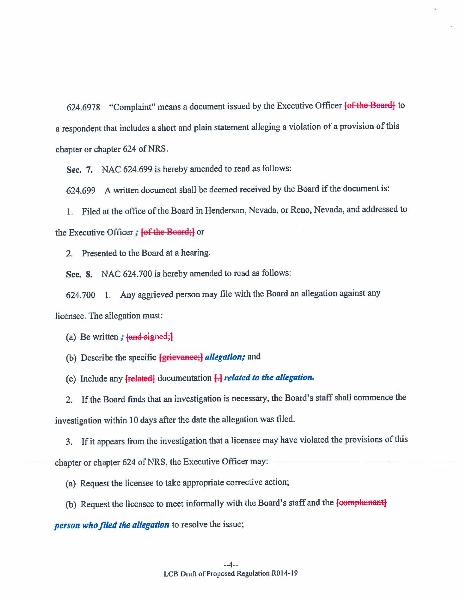624.6978 "Complaint" means <sup>a</sup> document issued by the Executive Officer lof the Board] to a respondent that includes <sup>a</sup> short and <sup>p</sup>lain statement alleging <sup>a</sup> violation of <sup>a</sup> provision of this chapter or chapter 624 of NRS.

Sec. 7. NAC 624.699 is hereby amended to read as follows

624.699 A written document shall be deemed received by the Board if the document is:

I. Filed at the office of the Board in Henderson, Nevada, or Reno, Nevada, and addressed to the Executive Officer; **{of the Board;}** or

2. Presented to the Board at <sup>a</sup> hearing.

Sec. 8. NAC 624.700 is hereby amended to read as follows

624.700 1. Any aggrieved person may file with the Board an allegation against any licensee. The allegation must:

(a) Be written;  $\{$ and signed; $\}$ 

(b) Describe the specific  $\{$ grievance; allegation; and

(c) Include any  ${frelated}$  documentation  $H$  related to the allegation.

2. Ifthe Board finds that an investigation is necessary, the Board's staff shall commence the investigation within <sup>10</sup> days afler the date the allegation was filed.

3. If it appears from the investigation that <sup>a</sup> licensee may have violated the provisions of this chapter or chapter <sup>624</sup> of NRS, the Executive Officer may:

(a) Request the licensee to take appropriate corrective action;

(b) Request the licensee to meet informally with the Board's staff and the **[complainant]** 

person who filed the allegation to resolve the issue;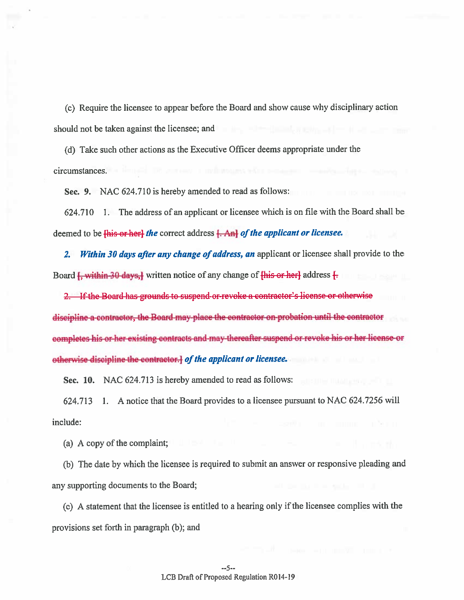(c) Require the licensee to appear before the Board and show cause why disciplinary action should not be taken against the licensee; and the should not be taken against the licensee; and

(d) Take such other actions as the Executive Officer deems appropriate under the circumstances.

Sec. 9. NAC 624.710 is hereby amended to read as follows:

624.710 1. The address of an applicant or licensee which is on file with the Board shall be deemed to be  $\overline{\text{His or her}}$  the correct address  $\overline{\text{A-n}}$  of the applicant or licensee.

2. Within 30 days after any change of address, an applicant or licensee shall provide to the Board  $\frac{1}{2}$ , within 30 days, written notice of any change of  $\frac{1}{2}$  and  $\frac{1}{2}$  address  $\frac{1}{2}$ 

2. If the Board has grounds to suspend or revoke a contractor's license or otherwise discipline <sup>a</sup> contractor, the Board may <sup>p</sup>lace the contractor on probation until the contractor completes his or her existing contracts and may thereafter suspend or revoke his or her license or otherwise discipline the contractor. I of the applicant or licensee.

Sec. 10. NAC 624.713 is hereby amended to read as follows:

624.713 1. A notice that the Board provides to <sup>a</sup> licensee pursuan<sup>t</sup> to NAG 624.7256 will include:

(a) A copy of the complaint;

(b) The date by which the licensee is required to submit an answer or responsive <sup>p</sup>leading and any supporting documents to the Board;

(c) <sup>A</sup> statement that the licensee is entitled to <sup>a</sup> hearing only ifthe licensee complies with the provisions set forth in paragraph (b); and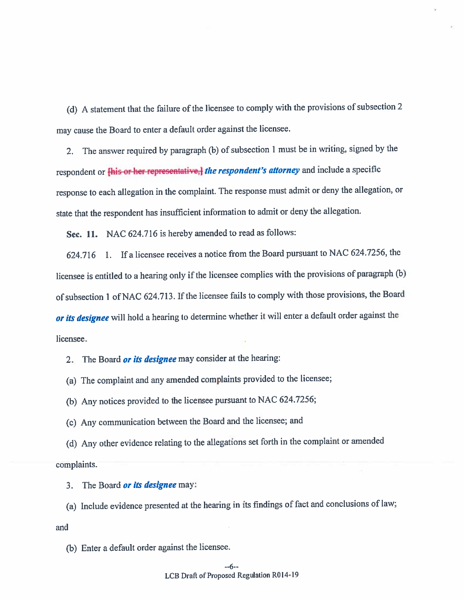(d) <sup>A</sup> statement that the failure of the licensee to comply with the provisions of subsection <sup>2</sup> may cause the Board to enter <sup>a</sup> default order against the licensee.

2. The answer required by paragrap<sup>h</sup> (b) of subsection <sup>1</sup> must be in writing, signed by the respondent or **this or her representative, the respondent's attorney** and include a specific response to each allegation in the complaint. The response must admit or deny the allegation, or state that the respondent has insufficient information to admit or deny the allegation.

Sec. 11. NAC 624.716 is hereby amended to read as follows:

624.716 1. If <sup>a</sup> licensee receives <sup>a</sup> notice from the Board pursuan<sup>t</sup> to NAC 624.7256, the licensee is entitled to a hearing only if the licensee complies with the provisions of paragraph  $(b)$ of subsection 1 of NAC 624.713. If the licensee fails to comply with those provisions, the Board or its designee will hold a hearing to determine whether it will enter a default order against the licensee.

2.The Board or its designee may consider at the hearing:

(a) The complaint and any amended complaints provided to the licensee;

(b) Any notices provided to the licensee pursuan<sup>t</sup> to NAC 624.7256;

(c) Any communication between the Board and the licensee; and

(d) Any other evidence relating to the allegations set forth in the compiaint or amended complaints.

3.The Board or its designee may.

(a) Include evidence presented at the hearing in its findings of fact and conclusions of law;

and

(b) Enter <sup>a</sup> default order against the licensee.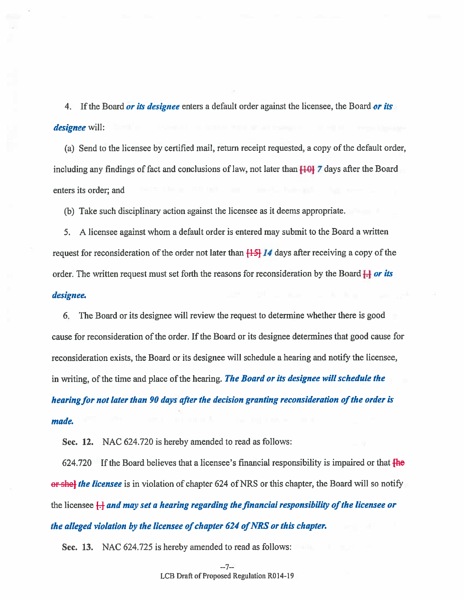4. If the Board *or its designee* enters a default order against the licensee, the Board *or its* designee will:

(a) Send to the licensee by certified mail, return receipt requested, <sup>a</sup> copy of the default order, including any findings of fact and conclusions of law, not later than  $\overline{100}$  7 days after the Board enters its order: and

(b) Take such disciplinary action against the licensee as it deems appropriate.

5. A licensee against whom <sup>a</sup> default order is entered may submit to the Board <sup>a</sup> written request for reconsideration of the order not later than  $[15]$  14 days after receiving a copy of the order. The written request must set forth the reasons for reconsideration by the Board  $\frac{1}{1}$  or its

### designee.

6. The Board or its designee will review the reques<sup>t</sup> to determine whether there is good cause for reconsideration of the order. If the Board or its designee determines that good cause for reconsideration exists, the Board or its designee will schedule a hearing and notify the licensee, in writing, of the time and place of the hearing. The Board or its designee will schedule the hearing for not later than 90 days after the decision granting reconsideration of the order is made.

Sec. 12. NAC 624.720 is hereby amended to read as follows:

 $624.720$  If the Board believes that a licensee's financial responsibility is impaired or that  $\overline{f}$  He or shel the licensee is in violation of chapter 624 of NRS or this chapter, the Board will so notify the licensee  $\left\{\frac{1}{2}\right\}$  and may set a hearing regarding the financial responsibility of the licensee or the alleged violation by the licensee of chapter  $624$  of NRS or this chapter.

Sec. 13. NAC 624.725 is hereby amended to read as follows: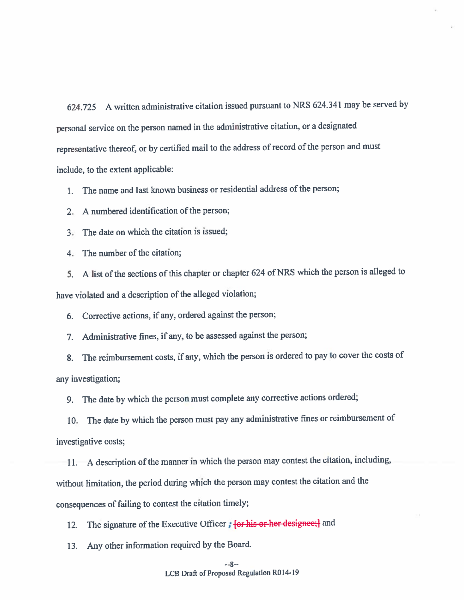624.725 <sup>A</sup> written administrative citation issued pursuan<sup>t</sup> to NRS 624.341 may be served by persona<sup>l</sup> service on the person named in the administrative citation, or <sup>a</sup> designated representative thereof, or by certified mail to the address of record of the person and must include, to the extent applicable:

1. The name and last known business or residential address of the person;

2. A numbered identification of the person;

3. The date on which the citation is issued;

4. The number of the citation;

5. A list of the sections of this chapter or chapter 624 of NRS which the person is alleged to have violated and <sup>a</sup> description of the alleged violation;

6. Corrective actions, if any, ordered against the person;

7. Administrative fines, if any, to be assessed against the person;

8. The reimbursement costs, if any, which the person is ordered to pay to cover the costs of any investigation;

9. The date by which the person must complete any corrective actions ordered;

10. The date by which the person must pay any administrative fines or reimbursement of investigative costs;

11. A description of the manner in which the person may contest the citation, including without limitation, the period during which the person may contest the citation and the consequences of failing to contest the citation timely;

12. The signature of the Executive Officer; for his or her designee; and

13. Any other information required by the Board.

#### --8--LCB Draft of Proposed Regulation R014-19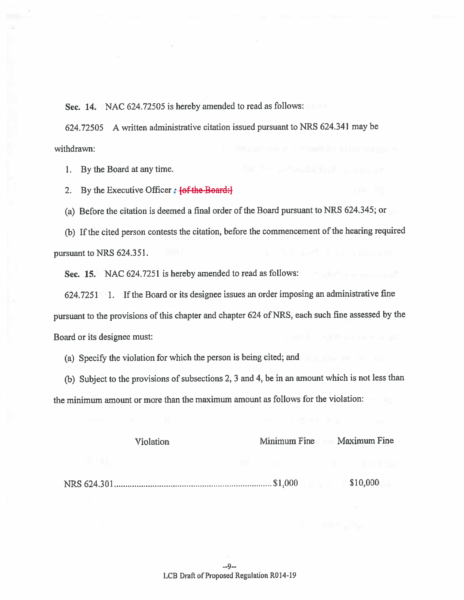Sec. 14. NAC 624.72505 is hereby amended to read as follows:

624.72505 <sup>A</sup> written administrative citation issued pursuan<sup>t</sup> to NRS 624.34 <sup>1</sup> may be withdrawn:

1. By the Board at any time.

2. By the Executive Officer:  $\{ \theta \}$  the Board:

(a) Before the citation is deemed <sup>a</sup> final order of the Board pursuan<sup>t</sup> to NRS 624.345; or

(b) Ifthe cited person contests the citation, before the commencement of the hearing required pursuant to NRS 624.351.

Sec. 15. NAC 624.7251 is hereby amended to read as follows:

624.7251 1. If the Board or its designee issues an order imposing an administrative fine pursuan<sup>t</sup> to the provisions of this chapter and chapter <sup>624</sup> of NRS, each such fine assessed by the Board or its designee must:

(a) Specify the violation for which the person is being cited; and

(b) Subject to the provisions of subsections 2, 3 and 4, be in an amount which is not less than the minimum amount or more than the maximum amount as follows for the violation:

| <b>Violation</b> | Minimum Fine | Maximum Fine |
|------------------|--------------|--------------|
|                  |              |              |

NRS 624.301 **\$10,000** \$10,000 \$10,000 \$10,000 \$10,000 \$10,000 \$10,000 \$10,000 \$10,000 \$10,000 \$10,000 \$10,000 \$10

 $-9-$ LCB Draft of Proposed Regulation R014-19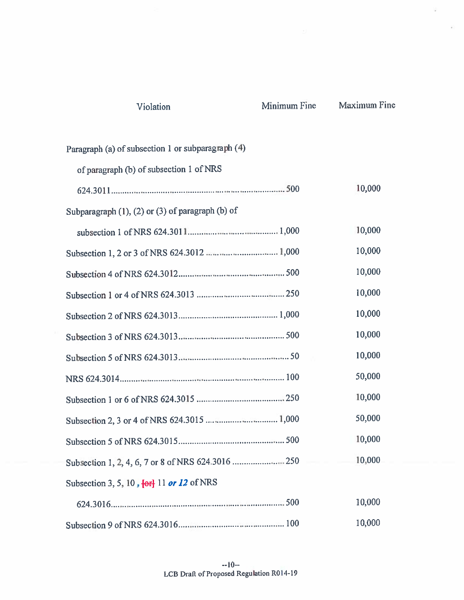| Violation                                                                  | Minimum Fine | <b>Maximum Fine</b> |
|----------------------------------------------------------------------------|--------------|---------------------|
| Paragraph (a) of subsection 1 or subparagraph (4)                          |              |                     |
| of paragraph (b) of subsection 1 of NRS                                    |              |                     |
|                                                                            |              | 10,000              |
| Subparagraph $(1)$ , $(2)$ or $(3)$ of paragraph $(b)$ of                  |              |                     |
|                                                                            |              | 10,000              |
|                                                                            |              | 10,000              |
|                                                                            |              | 10,000              |
|                                                                            |              | 10,000              |
|                                                                            |              | 10,000              |
|                                                                            |              | 10,000              |
|                                                                            |              | 10,000              |
|                                                                            |              | 50,000              |
|                                                                            |              | 10,000              |
|                                                                            |              | 50,000              |
|                                                                            |              | 10,000              |
|                                                                            |              | 10,000              |
| Subsection 3, 5, 10, $\left\{ \frac{\theta r}{r} \right\}$ 11 or 12 of NRS |              |                     |
|                                                                            |              | 10,000              |
|                                                                            |              | 10,000              |

Ŷ.

--10-- LCB Draft of Proposed Regulation R014-19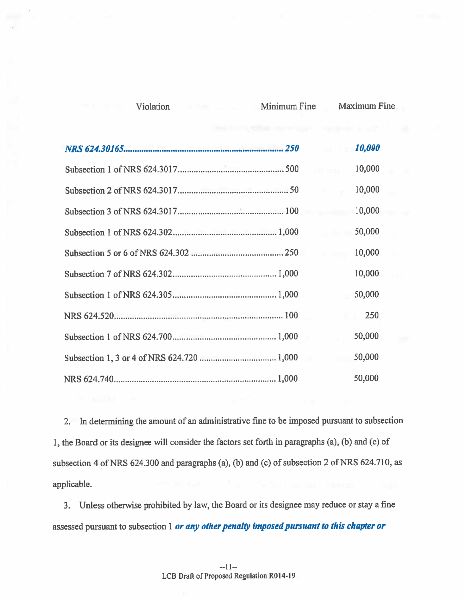| DMAN HPU/RONDE PHOTOGRAPH - POSITION AT HIS |              |                      |        |  |
|---------------------------------------------|--------------|----------------------|--------|--|
|                                             |              |                      | 10,000 |  |
|                                             |              | off man              | 10,000 |  |
|                                             |              | <b>COLLANS</b>       | 10,000 |  |
|                                             |              |                      | 10,000 |  |
|                                             |              | $11 - 25 = 139$      | 50,000 |  |
|                                             |              | <b>TEL: 100-4110</b> | 10,000 |  |
|                                             |              |                      | 10,000 |  |
|                                             |              |                      | 50,000 |  |
|                                             |              | IL L                 | 250    |  |
|                                             | $\mathbf{u}$ |                      | 50,000 |  |
|                                             |              | <b>TELEVISION</b>    | 50,000 |  |
|                                             |              |                      | 50,000 |  |

Violation Minimum Fine Maximum Fine

2. In determining the amount of an administrative fine to be imposed pursuan<sup>t</sup> to subsection 1, the Board or its designee will consider the factors set forth in paragraphs (a), (b) and (c) of subsection 4 of NRS  $624.300$  and paragraphs (a), (b) and (c) of subsection 2 of NRS  $624.710$ , as applicable.

3. Unless otherwise prohibited by law, the Board or its designee may reduce or stay <sup>a</sup> fine assessed pursuant to subsection 1 or any other penalty imposed pursuant to this chapter or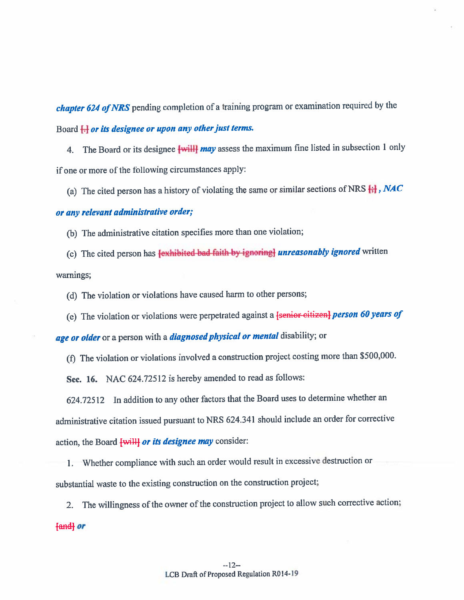chapter 624 of NRS pending completion of a training program or examination required by the Board <del>[.]</del> or its designee or upon any other just terms

4. The Board or its designee **[will] may** assess the maximum fine listed in subsection 1 only if one or more of the following circumstances apply:

(a) The cited person has a history of violating the same or similar sections of NRS  $\leftarrow$   $NAC$ 

## or any relevant administrative order;

(b) The administrative citation specifies more than one violation;

(c) The cited person has **{exhibited-bad-faith-by-ignoring} unreasonably ignored** written warnings;

(d) The violation or violations have caused harm to other persons;

(e) The violation or violations were perpetrated against a  $\frac{1}{2}$  senior citizen] person 60 years of

age or older or a person with a *diagnosed physical or mental* disability; or

(f) The violation or violations involved a construction project costing more than \$500,000.

Sec. 16. NAC 624.72512 is hereby amended to read as follows:

624.72512 In addition to any other factors that the Board uses to determine whether an administrative citation issued pursuan<sup>t</sup> to NRS 624.341 should include an order for corrective action, the Board  $\overline{\text{while}}$  or its designee may consider:

1. Whether compliance with such an order would result in excessive destmction or substantial waste to the existing construction on the construction project;

2. The willingness of the owner of the construction project to allow such corrective action land or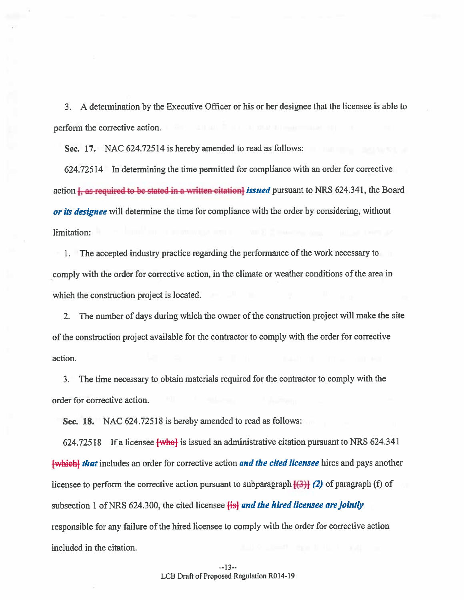3. A determination by the Executive Officer or his or her designee that the licensee is able to perform the corrective action.

Sec. 17. NAC 624.72514 is hereby amended to read as follows:

624.72514 In determining the time permitted for compliance with an order for corrective action <del>J, as required to be stated in a written citation]</del> issued pursuant to NRS 624.341, the Board , or its designee will determine the time for compliance with the order by considering, without limitation:

1. The accepted industry practice regarding the performance of the work necessary to comply with the order for corrective action, in the climate or weather conditions of the area in which the construction project is located.

2. The number of days during which the owner of the construction project will make the site of the construction project available for the contractor to comply with the order for corrective action.

3. The time necessary to obtain materials required for the contractor to comply with the order for corrective action.

Sec. 18. NAC 624.72518 is hereby amended to read as follows:

624.72518 If a licensee  $\overline{\text{twhel}}$  is issued an administrative citation pursuant to NRS 624.341 [which] that includes an order for corrective action and the cited licensee hires and pays another licensee to perform the corrective action pursuant to subparagraph  $(3)$  (2) of paragraph (f) of subsection 1 of NRS 624.300, the cited licensee  $\frac{1}{2}$  and the hired licensee are jointly responsible for any failure of the hired licensee to comply with the order for corrective action included in the citation.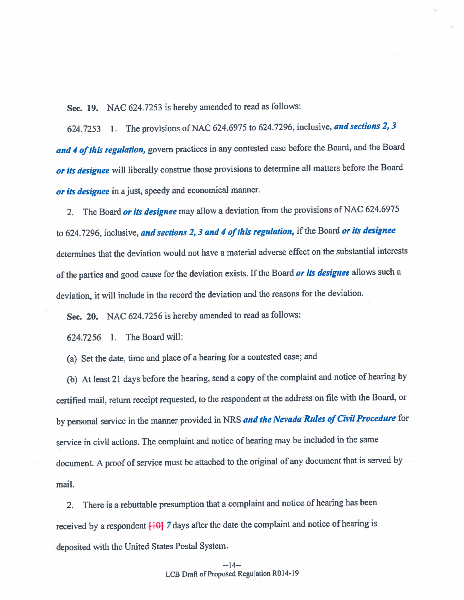Sec. 19. NAC 624.7253 is hereby amended to read as follows:

624.7253 1. The provisions of NAC 624.6975 to 624.7296, inclusive, and sections 2, 3 and 4 of this regulation, govern practices in any contested case before the Board, and the Board or its designee will liberally construe those provisions to determine all matters before the Board or its designee in a just, speedy and economical manner

2. The Board *or its designee* may allow a deviation from the provisions of NAC 624.6975 to 624.7296, inclusive, and sections 2, 3 and 4 of this regulation, if the Board or its designee determines that the deviation would not have <sup>a</sup> material adverse effect on the substantial interests of the parties and good cause for the deviation exists. If the Board *or its designee* allows such a deviation, it will include in the record the deviation and the reasons for the deviation.

Sec. 20. NAC 624.7256 is hereby amended to read as follows:

624.7256 1. The Board will:

(a) Set the date, time and <sup>p</sup>lace of <sup>a</sup> hearing for <sup>a</sup> contested case; and

(b) At least <sup>21</sup> days before the hearing, send <sup>a</sup> copy of the complaint and notice of hearing by certified mail, return receipt requested, to the respondent at the address on file with the Board, or by personal service in the manner provided in NRS and the Nevada Rules of Civil Procedure for service in civil actions. The complaint and notice of hearing may be included in the same document. A proo<sup>f</sup> of service must be attached to the original of any document that is served by mail.

2. There is <sup>a</sup> rebuttable presumption that <sup>a</sup> complaint and notice of hearing has been received by a respondent  $[10]$  7 days after the date the complaint and notice of hearing is deposited with the United States Postal System.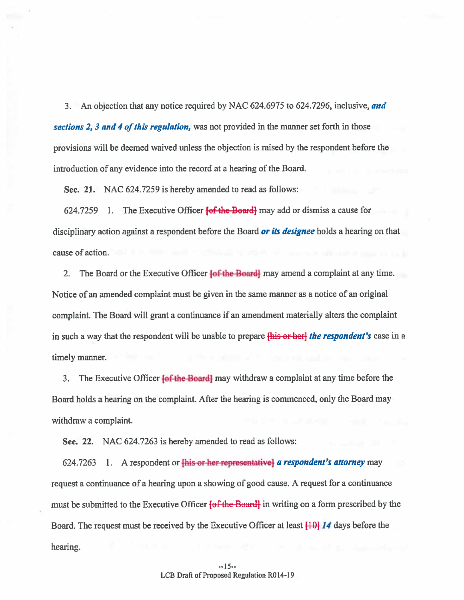3. An objection that any notice required by NAC 624.6975 to 624.7296, inclusive, and

sections 2, 3 and 4 of this regulation, was not provided in the manner set forth in those provisions will be deemed waived unless the objection is raised by the respondent before the introduction of any evidence into the record at a hearing of the Board.

Sec. 21. NAC 624.7259 is hereby amended to read as follows:

624.7259 1. The Executive Officer  $\frac{1}{2}$  for Board may add or dismiss a cause for disciplinary action against a respondent before the Board **or its designee** holds a hearing on that cause of action.

2. The Board or the Executive Officer **[of the Board]** may amend a complaint at any time. Notice of an amended complaint must be given in the same manner as <sup>a</sup> notice of an original complaint. The Board will gran<sup>t</sup> <sup>a</sup> continuance if an amendment materially alters the complaint in such a way that the respondent will be unable to prepare **this or here the respondent's** case in a timely manner.

3. The Executive Officer  $\{of the Board\}$  may withdraw a complaint at any time before the Board holds <sup>a</sup> hearing on the complaint. After the hearing is commenced, only the Board may withdraw <sup>a</sup> complaint.

Sec. 22. NAC 624.7263 is hereby amended to read as follows:

624.7263 1. A respondent or  $\frac{1}{2}$  his or-her representative a respondent's attorney may reques<sup>t</sup> <sup>a</sup> continuance of <sup>a</sup> hearing upon <sup>a</sup> showing of good cause. <sup>A</sup> reques<sup>t</sup> for <sup>a</sup> continuance must be submitted to the Executive Officer **[of the Board]** in writing on a form prescribed by the Board. The request must be received by the Executive Officer at least  $\frac{10}{14}$  *I4* days before the hearing.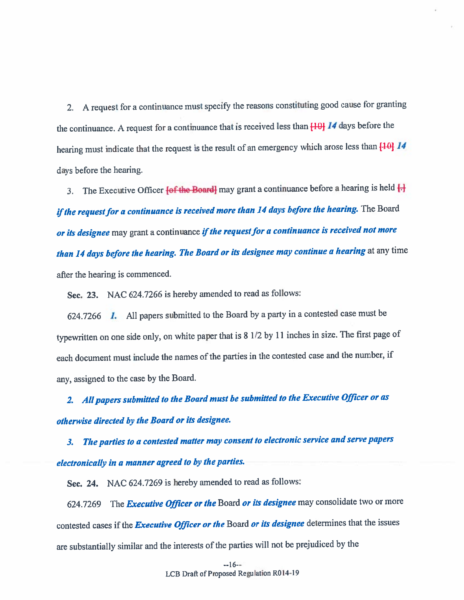2. A reques<sup>t</sup> for <sup>a</sup> continuance must specify the reasons constituting goo<sup>d</sup> cause for granting the continuance. A request for a continuance that is received less than  $[10]$  14 days before the hearing must indicate that the request is the result of an emergency which arose less than  $[10]$  14 days before the hearing.

3. The Executive Officer *(of the Board)* may grant a continuance before a hearing is held  $\Box$ if the request for a continuance is received more than 14 days before the hearing. The Board *or its designee* may grant a continuance *if the request for a continuance is received not more* than 14 days before the hearing. The Board or its designee may continue a hearing at any time after the hearing is commenced.

Sec. 23. NAC 624.7266 is hereby amended to read as follows:

624.7266  $\blacksquare$  All papers submitted to the Board by a party in a contested case must be typewritten on one side only, on white paper that is <sup>8</sup> 1/2 by <sup>11</sup> inches in size. The first page of each document must include the names of the parties in the contested case and the number, if any, assigned to the case by the Board.

2. All papers submitted to the Board must be submitted to the Executive Officer or as otherwise directed by the Board or its designee.

3. The parties to <sup>a</sup> contested matter may consent to electronic service and serve papers electronically in <sup>a</sup> manner agree<sup>d</sup> to by the parties.

Sec. 24. NAC 624.7269 is hereby amended to read as follows:

624,7269 The *Executive Officer or the* Board *or its designee* may consolidate two or more contested cases if the *Executive Officer or the* Board *or its designee* determines that the issues are substantially similar and the interests of the parties will not be prejudiced by the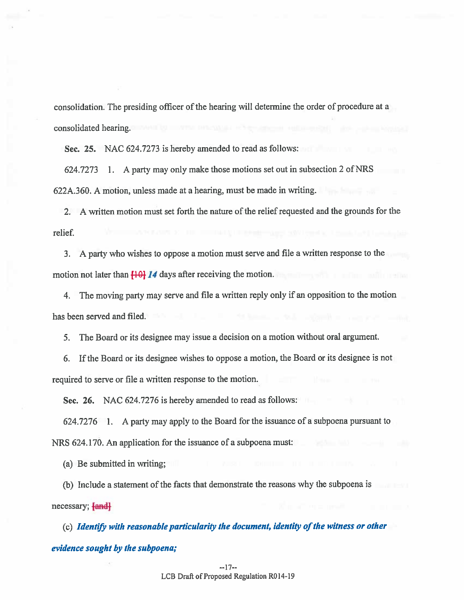consolidation. The presiding officer of the hearing will determine the order of procedure at <sup>a</sup> consolidated hearing.

Sec. 25. NAC 624.7273 is hereby amended to read as follows:

624.7273 1. A party may only make those motions set out in subsection 2 of NRS 622A.360. A motion, unless made at <sup>a</sup> hearing, must be made in writing.

2. A written motion must set forth the nature of the relief requested and the grounds for the relief.

3. <sup>A</sup> party who wishes to oppose <sup>a</sup> motion must serve and file <sup>a</sup> written response to the motion not later than  $\overline{10}$  14 days after receiving the motion.

4. The moving party may serve and file <sup>a</sup> written reply only if an opposition to the motion has been served and filed.

5. The Board or its designee may issue <sup>a</sup> decision on <sup>a</sup> motion without oral argument.

6. If the Board or its designee wishes to oppose <sup>a</sup> motion, the Board or its designee is not required to serve or file <sup>a</sup> written response to the motion.

Sec. 26. NAC 624.7276 is hereby amended to read as follows:

624.7276 1. A party may apply to the Board for the issuance of <sup>a</sup> subpoena pursuan<sup>t</sup> to NRS 624.170. An application for the issuance of <sup>a</sup> subpoena must:

(a) Be submitted in writing;

(b) Include <sup>a</sup> statement of the facts that demonstrate the reasons why the subpoena is necessary; [and]

 $(c)$  Identify with reasonable particularity the document, identity of the witness or other evidence sought by the subpoena;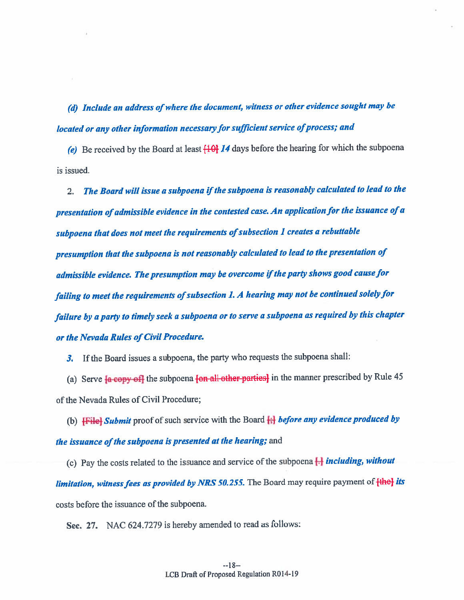(d) Include an address of where the document, witness or other evidence sought may be located or any other information necessary for sufficient service of process; and

(e) Be received by the Board at least  $\{10\}$  J4 days before the hearing for which the subpoena is issued.

2. $\ldots$  The Board will issue a subpoena if the subpoena is reasonably calculated to lead to the presentation of admissible evidence in the contested case. An application for the issuance of  $a$ subpoena that does not meet the requirements of subsection 1 creates a rebuttable presumption that the subpoena is not reasonably calculated to lead to the presentation of admissible evidence. The presumption may be overcome if the party shows good cause for failing to meet the requirements of subsection 1. A hearing may not be continued solely for failure by <sup>a</sup> party to timely seek <sup>a</sup> subpoena or to serve <sup>a</sup> subpoena as required by this chapter or the Nevada Rules of Civil Procedure.

3. If the Board issues <sup>a</sup> subpoena, the party who requests the subpoena shall:

(a) Serve  $\frac{1}{2}$  copy of the subpoena  $\frac{1}{2}$  other parties in the manner prescribed by Rule 45 of the Nevada Rules of Civil Procedure;

(b)  $\overline{f}\overline{f}$  **[File]** Submit proof of such service with the Board  $\overline{f}$ ; before any evidence produced by *the issuance of the subpoena is presented at the hearing;* and

(c) Pay the costs related to the issuance and service of the subpoena  $\Box$  including, without limitation, witness fees as provided by NRS 50.255. The Board may require payment of  ${the}$  its costs before the issuance of the subpoena.

Sec. 27. NAC 624.7279 is hereby amended to read as follows: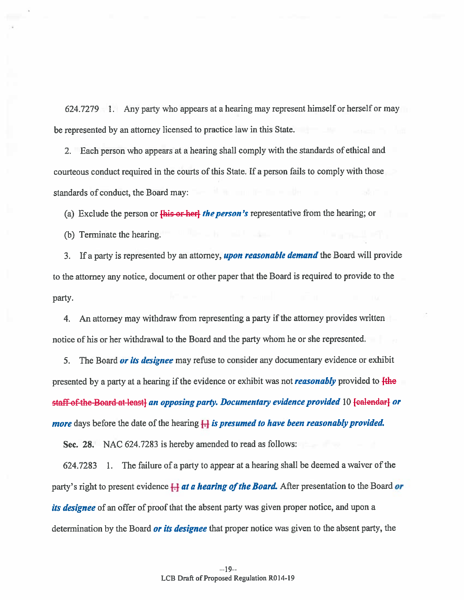624.7279 1. Any party who appears at <sup>a</sup> hearing may represen<sup>t</sup> himself or herself or may be represented by an attorney licensed to practice law in this State.

2. Each person who appears at <sup>a</sup> hearing shall comply with the standards of ethical and courteous conduct required in the courts of this State. If <sup>a</sup> person fails to comply with those standards of conduct, the Board may:

(a) Exclude the person or  $\frac{f\{h\}}{g}$  or here the person's representative from the hearing; or

(b) Terminate the hearing.

3. If a party is represented by an attorney, **upon reasonable demand** the Board will provide to the attorney any notice, document or other paper that the Board is required to provide to the party.

4. An attorney may withdraw from representing a party if the attorney provides written notice of his or her withdrawal to the Board and the party whom he or she represented.

5. The Board or its designee may refuse to consider any documentary evidence or exhibit presented by a party at a hearing if the evidence or exhibit was not **reasonably** provided to  $\frac{f_{th}}{f_{th}}$ staff of the Board at least) an opposing party. Documentary evidence provided 10 [ealendar] or *more* days before the date of the hearing  $\mathbb{H}$  is presumed to have been reasonably provided.

Sec. 28. NAC 624.7283 is hereby amended to read as follows:

624.7283 1. The failure of a party to appear at a hearing shall be deemed a waiver of the party's right to present evidence  $\Box$  at a hearing of the Board. After presentation to the Board or its designee of an offer of proof that the absent party was given proper notice, and upon a determination by the Board *or its designee* that proper notice was given to the absent party, the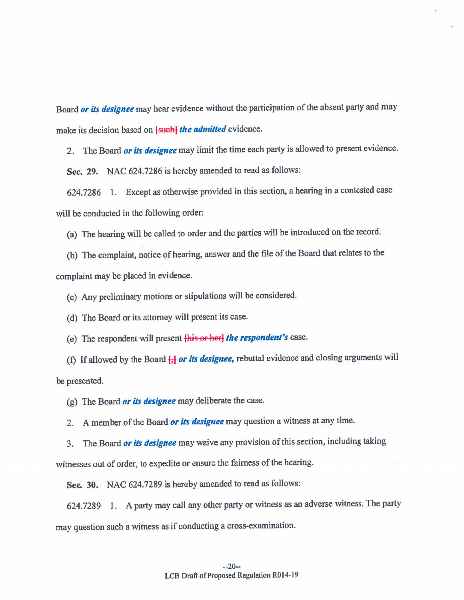Board *or its designee* may hear evidence without the participation of the absent party and may make its decision based on <del>[such] the admitted</del> evidence.

2. The Board *or its designee* may limit the time each party is allowed to present evidence.

Sec. 29. NAC 624.7286 is hereby amended to read as follows:

624.7286 1. Except as otherwise provided in this section, <sup>a</sup> hearing in <sup>a</sup> contested case will be conducted in the following order

(a) The hearing will be called to order and the parties will be introduced on the record.

(b) The complaint, notice of hearing, answer and the file of the Board that relates to the complaint may be <sup>p</sup>laced in evidence.

(c) Any preliminary motions or stipulations will be considered.

(d) The Board or its attorney will presen<sup>t</sup> its case.

(e) The respondent will present [his or her] the respondent's case.

(f) If allowed by the Board  $\frac{1}{1}$  or its designee, rebuttal evidence and closing arguments will be presented.

(g) The Board or its designee may deliberate the case.

2. A member of the Board **or its designee** may question a witness at any time.

3. The Board *or its designee* may waive any provision of this section, including taking

witnesses out of order, to expedite or ensure the fairness of the hearing.

Sec. 30. NAC 624.7289 is hereby amended to read as follows:

624.7289 1. A party may call any other party or witness as an adverse witness. The party may question such <sup>a</sup> witness as if conducting <sup>a</sup> cross-examination.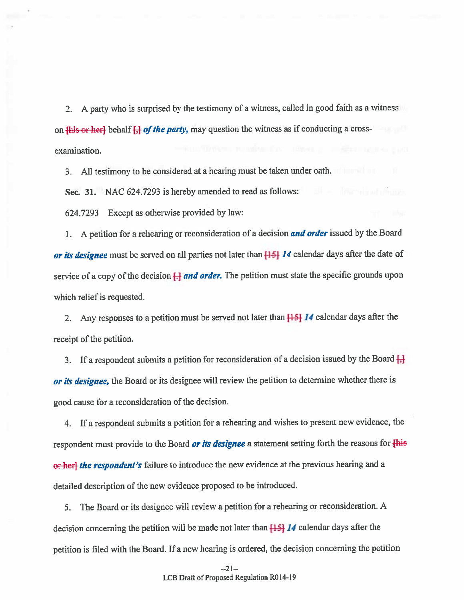2. <sup>A</sup> party who is surprised by the testimony of <sup>a</sup> witness, called in goo<sup>d</sup> faith as <sup>a</sup> witness on  $\{\text{his- or-her}\}$  behalf  $\{\}$  of the party, may question the witness as if conducting a crossexamination.

3. All testimony to be considered at <sup>a</sup> hearing must be taken under oath.

Sec. 31. NAC 624.7293 is hereby amended to read as follows:

624.7293 Except as otherwise provided by law:

1. A petition for a rehearing or reconsideration of a decision and order issued by the Board or its designee must be served on all parties not later than  $\left[\frac{1}{2}\right]$  14 calendar days after the date of service of a copy of the decision  $\Box$  and order. The petition must state the specific grounds upon which relief is requested.

2. Any responses to a petition must be served not later than  $\frac{15}{14}$  14 calendar days after the receipt of the petition.

3. If a respondent submits a petition for reconsideration of a decision issued by the Board  $\frac{1}{H}$ or its designee, the Board or its designee will review the petition to determine whether there is goo<sup>d</sup> cause for <sup>a</sup> reconsideration of the decision.

4. If <sup>a</sup> respondent submits <sup>a</sup> petition for <sup>a</sup> rehearing and wishes to presen<sup>t</sup> new evidence, the respondent must provide to the Board or its designee a statement setting forth the reasons for  $\overline{\text{His}}$ or her] the respondent's failure to introduce the new evidence at the previous hearing and a detailed description of the new evidence propose<sup>d</sup> to be introduced.

5. The Board or its designee will review <sup>a</sup> petition for <sup>a</sup> rehearing or reconsideration. <sup>A</sup> decision concerning the petition will be made not later than  $[15]$  14 calendar days after the petition is filed with the Board. If <sup>a</sup> new hearing is ordered, the decision concerning the petition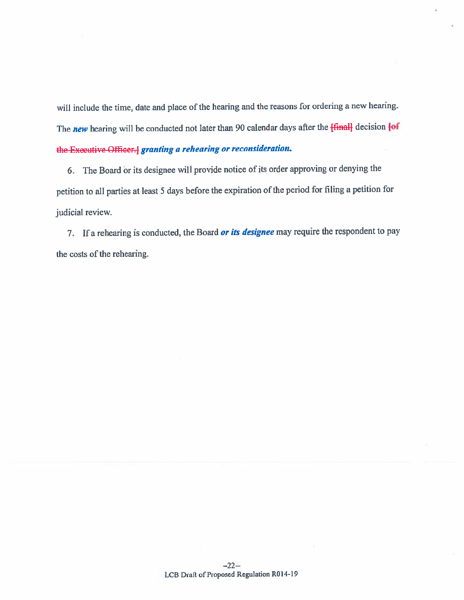will include the time, date and <sup>p</sup>lace of the hearing and the reasons for ordering <sup>a</sup> new hearing. The new hearing will be conducted not later than 90 calendar days after the  ${final}$  decision  ${of}$ the Executive Officer.] granting a rehearing or reconsideration

6. The Board àr its designee will provide notice of its order approving or denying the petition to all parties at least <sup>5</sup> days before the expiration of the period for filing <sup>a</sup> petition for judicial review.

7. If a rehearing is conducted, the Board *or its designee* may require the respondent to pay the costs of the rehearing.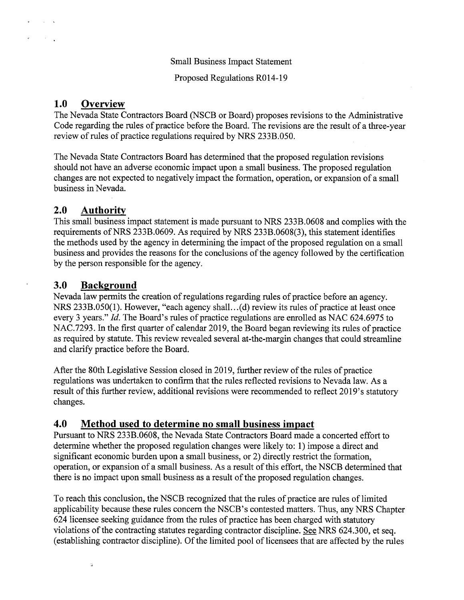Proposed Regulations R014-19

## 1.0 Overview

The Nevada State Contractors Board (NSCB or Board) proposes revisions to the Administrative Code regarding the rules of practice before the Board. The revisions are the result of a three-year review of rules of practice regulations required by NRS 233B.050.

The Nevada State Contractors Board has determined that the proposed regulation revisions should not have an adverse economic impact upon a small business. The proposed regulation changes are not expected to negatively impact the formation, operation, or expansion of <sup>a</sup> small business in Nevada.

# 2.0 Authority

This small business impact statement is made pursuant to NRS 233B.0608 and complies with the requirements of NRS 233B.0609. As required by NRS 233B.0608(3), this statement identifies the methods used by the agency in determining the impact of the proposed regulation on a small business and provides the reasons for the conclusions of the agency followed by the certification by the person responsible for the agency.

# 3.0 Background

 $\dot{\mu}$ 

Nevada law permits the creation of regulations regarding rules of practice before an agency. NRS 233B.050(1). However, "each agency shall.. .(d) review its rules of practice at least once every 3 years." *Id.* The Board's rules of practice regulations are enrolled as NAC 624.6975 to NAC.7293. In the first quarter of calendar 2019, the Board began reviewing its rules of practice as required by statute. This review revealed several at-the-margin changes that could streamline and clarify practice before the Board.

After the 80th Legislative Session closed in 2019, further review of the rules of practice regulations was undertaken to confirm that the rules reflected revisions to Nevada law. As a result of this further review, additional revisions were recommended to reflect 2019's statutory changes.

# 4.0 Method used to determine no small business impact

Pursuant to NRS 233B.0608, the Nevada State Contractors Board made a concerted effort to determine whether the proposed regulation changes were likely to: 1) impose a direct and significant economic burden upon a small business, or 2) directly restrict the formation, operation, or expansion of a small business. As a result of this effort, the NSCB determined that there is no impact upon small business as a result of the proposed regulation changes.

To reach this conclusion, the NSCB recognized that the rules of practice are rules of limited applicability because these rules concern the NSCB's contested matters. Thus, any NRS Chapter 624 licensee seeking guidance from the rules of practice has been charged with statutory violations of the contracting statutes regarding contractor discipline. See NRS 624.3 00, et seq. (establishing contractor discipline). Of the limited pool of licensees that are affected by the rules